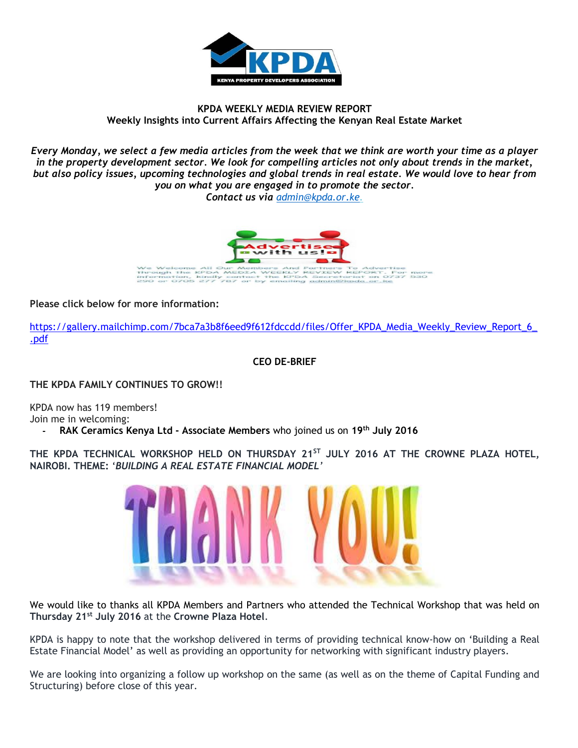

### **KPDA WEEKLY MEDIA REVIEW REPORT Weekly Insights into Current Affairs Affecting the Kenyan Real Estate Market**

*Every Monday, we select a few media articles from the week that we think are worth your time as a player in the property development sector. We look for compelling articles not only about trends in the market, but also policy issues, upcoming technologies and global trends in real estate. We would love to hear from you on what you are engaged in to promote the sector.*

*Contact us via [admin@kpda.or](mailto:admin@kpda.or.ke).ke.* 



**Please click below for more information:** 

[https://gallery.mailchimp.com/7bca7a3b8f6eed9f612fdccdd/files/Offer\\_KPDA\\_Media\\_Weekly\\_Review\\_Report\\_6\\_](https://gallery.mailchimp.com/7bca7a3b8f6eed9f612fdccdd/files/Offer_KPDA_Media_Weekly_Review_Report_6_.pdf) [.pdf](https://gallery.mailchimp.com/7bca7a3b8f6eed9f612fdccdd/files/Offer_KPDA_Media_Weekly_Review_Report_6_.pdf)

**CEO DE-BRIEF**

**THE KPDA FAMILY CONTINUES TO GROW!!**

KPDA now has 119 members! Join me in welcoming: **- RAK Ceramics Kenya Ltd - Associate Members** who joined us on **19th July 2016**

**THE KPDA TECHNICAL WORKSHOP HELD ON THURSDAY 21ST JULY 2016 AT THE CROWNE PLAZA HOTEL, NAIROBI. THEME:** '*BUILDING A REAL ESTATE FINANCIAL MODEL'*



We would like to thanks all KPDA Members and Partners who attended the Technical Workshop that was held on **Thursday 21st July 2016** at the **Crowne Plaza Hotel**.

KPDA is happy to note that the workshop delivered in terms of providing technical know-how on 'Building a Real Estate Financial Model' as well as providing an opportunity for networking with significant industry players.

We are looking into organizing a follow up workshop on the same (as well as on the theme of Capital Funding and Structuring) before close of this year.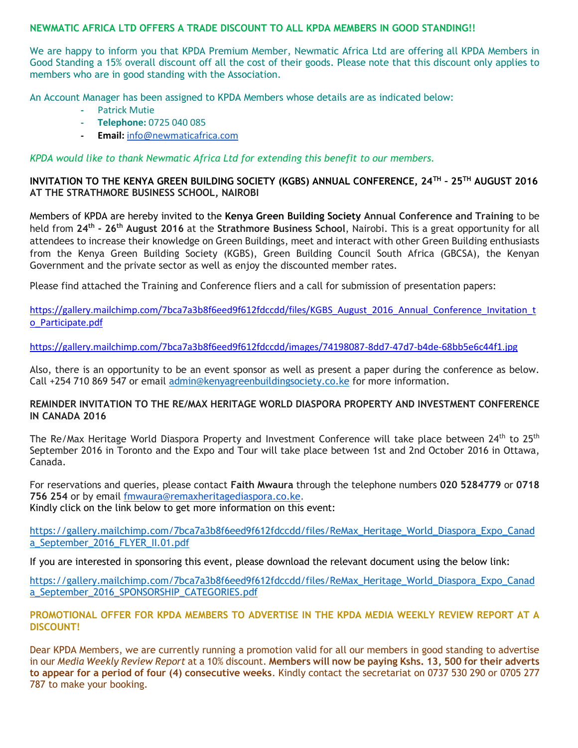#### **NEWMATIC AFRICA LTD OFFERS A TRADE DISCOUNT TO ALL KPDA MEMBERS IN GOOD STANDING!!**

We are happy to inform you that KPDA Premium Member, Newmatic Africa Ltd are offering all KPDA Members in Good Standing a 15% overall discount off all the cost of their goods. Please note that this discount only applies to members who are in good standing with the Association.

An Account Manager has been assigned to KPDA Members whose details are as indicated below:

- **-** Patrick Mutie
- **- Telephone:** 0725 040 085
- **- Email:** [info@newmaticafrica.com](mailto:info@newmaticafrica.com)

*KPDA would like to thank Newmatic Africa Ltd for extending this benefit to our members.*

### **INVITATION TO THE KENYA GREEN BUILDING SOCIETY (KGBS) ANNUAL CONFERENCE, 24TH – 25TH AUGUST 2016 AT THE STRATHMORE BUSINESS SCHOOL, NAIROBI**

Members of KPDA are hereby invited to the **Kenya Green Building Society Annual Conference and Training** to be held from **24th - 26th August 2016** at the **Strathmore Business School**, Nairobi. This is a great opportunity for all attendees to increase their knowledge on Green Buildings, meet and interact with other Green Building enthusiasts from the Kenya Green Building Society (KGBS), Green Building Council South Africa (GBCSA), the Kenyan Government and the private sector as well as enjoy the discounted member rates.

Please find attached the Training and Conference fliers and a call for submission of presentation papers:

[https://gallery.mailchimp.com/7bca7a3b8f6eed9f612fdccdd/files/KGBS\\_August\\_2016\\_Annual\\_Conference\\_Invitation\\_t](https://gallery.mailchimp.com/7bca7a3b8f6eed9f612fdccdd/images/74198087-8dd7-47d7-b4de-68bb5e6c44f1.jpg) [o\\_Participate.pdf](https://gallery.mailchimp.com/7bca7a3b8f6eed9f612fdccdd/images/74198087-8dd7-47d7-b4de-68bb5e6c44f1.jpg)

<https://gallery.mailchimp.com/7bca7a3b8f6eed9f612fdccdd/images/74198087-8dd7-47d7-b4de-68bb5e6c44f1.jpg>

Also, there is an opportunity to be an event sponsor as well as present a paper during the conference as below. Call +254 710 869 547 or email [admin@kenyagreenbuildingsociety.co.ke](mailto:admin@kenyagreenbuildingsociety.co.ke) for more information.

#### **REMINDER INVITATION TO THE RE/MAX HERITAGE WORLD DIASPORA PROPERTY AND INVESTMENT CONFERENCE IN CANADA 2016**

The Re/Max Heritage World Diaspora Property and Investment Conference will take place between 24<sup>th</sup> to 25<sup>th</sup> September 2016 in Toronto and the Expo and Tour will take place between 1st and 2nd October 2016 in Ottawa, Canada.

For reservations and queries, please contact **Faith Mwaura** through the telephone numbers **020 5284779** or **0718 756 254** or by email [fmwaura@remaxheritagediaspora.co.ke.](mailto:fmwaura@remaxheritagediaspora.co.ke) Kindly click on the link below to get more information on this event:

[https://gallery.mailchimp.com/7bca7a3b8f6eed9f612fdccdd/files/ReMax\\_Heritage\\_World\\_Diaspora\\_Expo\\_Canad](https://gallery.mailchimp.com/7bca7a3b8f6eed9f612fdccdd/files/ReMax_Heritage_World_Diaspora_Expo_Canada_September_2016_FLYER_II.01.pdf) [a\\_September\\_2016\\_FLYER\\_II.01.pdf](https://gallery.mailchimp.com/7bca7a3b8f6eed9f612fdccdd/files/ReMax_Heritage_World_Diaspora_Expo_Canada_September_2016_FLYER_II.01.pdf)

If you are interested in sponsoring this event, please download the relevant document using the below link:

[https://gallery.mailchimp.com/7bca7a3b8f6eed9f612fdccdd/files/ReMax\\_Heritage\\_World\\_Diaspora\\_Expo\\_Canad](https://gallery.mailchimp.com/7bca7a3b8f6eed9f612fdccdd/files/ReMax_Heritage_World_Diaspora_Expo_Canada_September_2016_SPONSORSHIP_CATEGORIES.pdf) [a\\_September\\_2016\\_SPONSORSHIP\\_CATEGORIES.pdf](https://gallery.mailchimp.com/7bca7a3b8f6eed9f612fdccdd/files/ReMax_Heritage_World_Diaspora_Expo_Canada_September_2016_SPONSORSHIP_CATEGORIES.pdf)

**PROMOTIONAL OFFER FOR KPDA MEMBERS TO ADVERTISE IN THE KPDA MEDIA WEEKLY REVIEW REPORT AT A DISCOUNT!**

Dear KPDA Members, we are currently running a promotion valid for all our members in good standing to advertise in our *Media Weekly Review Report* at a 10% discount. **Members will now be paying Kshs. 13, 500 for their adverts to appear for a period of four (4) consecutive weeks**. Kindly contact the secretariat on 0737 530 290 or 0705 277 787 to make your booking.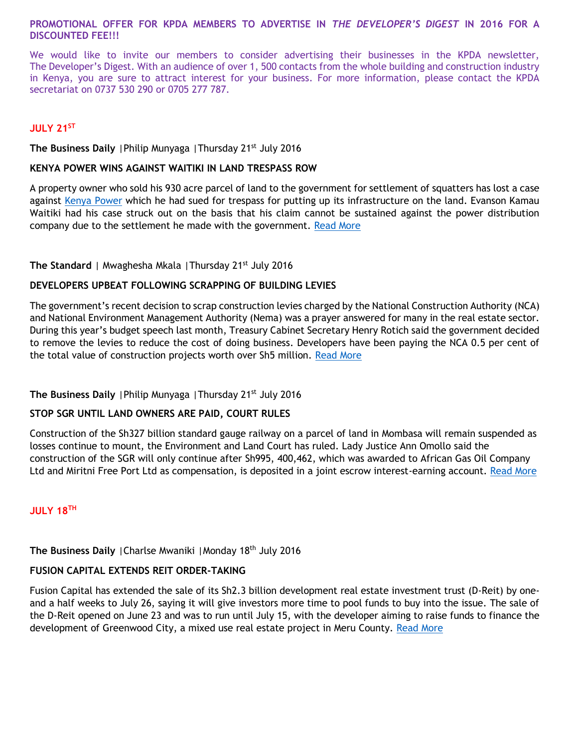#### **PROMOTIONAL OFFER FOR KPDA MEMBERS TO ADVERTISE IN** *THE DEVELOPER'S DIGEST* **IN 2016 FOR A DISCOUNTED FEE!!!**

We would like to invite our members to consider advertising their businesses in the KPDA newsletter, The Developer's Digest. With an audience of over 1, 500 contacts from the whole building and construction industry in Kenya, you are sure to attract interest for your business. For more information, please contact the KPDA secretariat on 0737 530 290 or 0705 277 787.

# **JULY 21ST**

**The Business Daily** | Philip Munyaga | Thursday 21<sup>st</sup> July 2016

#### **KENYA POWER WINS AGAINST WAITIKI IN LAND TRESPASS ROW**

A property owner who sold his 930 acre parcel of land to the government for settlement of squatters has lost a case against [Kenya Power](http://www.businessdailyafrica.com/stocks/-/1322440/1394216/-/shks8s/-/index.html) which he had sued for trespass for putting up its infrastructure on the land. Evanson Kamau Waitiki had his case struck out on the basis that his claim cannot be sustained against the power distribution company due to the settlement he made with the government. [Read More](http://www.businessdailyafrica.com/Corporate-News/Kenya-Power-wins-against-Waitiki-in-land-trespass-row/-/539550/3305104/-/beriv0/-/index.html)

# **The Standard** | Mwaghesha Mkala | Thursday 21<sup>st</sup> July 2016

# **DEVELOPERS UPBEAT FOLLOWING SCRAPPING OF BUILDING LEVIES**

The government's recent decision to scrap construction levies charged by the National Construction Authority (NCA) and National Environment Management Authority (Nema) was a prayer answered for many in the real estate sector. During this year's budget speech last month, Treasury Cabinet Secretary Henry Rotich said the government decided to remove the levies to reduce the cost of doing business. Developers have been paying the NCA 0.5 per cent of the total value of construction projects worth over Sh5 million. [Read More](file:///C:/Users/KPDA/Downloads/Read%20more%20at:%20http:/www.standardmedia.co.ke/lifestyle/article/2000209296/developers-upbeat-following-scrapping-of-building-levies)

# **The Business Daily** | Philip Munyaga | Thursday 21<sup>st</sup> July 2016

#### **STOP SGR UNTIL LAND OWNERS ARE PAID, COURT RULES**

Construction of the Sh327 billion standard gauge railway on a parcel of land in Mombasa will remain suspended as losses continue to mount, the Environment and Land Court has ruled. Lady Justice Ann Omollo said the construction of the SGR will only continue after Sh995, 400,462, which was awarded to African Gas Oil Company Ltd and Miritni Free Port Ltd as compensation, is deposited in a joint escrow interest-earning account. [Read More](http://www.businessdailyafrica.com/Stop-SGR-until-land-owners-are-paid--court-rules/-/539546/3305178/-/vj9ijfz/-/index.html)

#### **JULY 18TH**

# The Business Daily | Charlse Mwaniki | Monday 18<sup>th</sup> July 2016

# **FUSION CAPITAL EXTENDS REIT ORDER-TAKING**

Fusion Capital has extended the sale of its Sh2.3 billion development real estate investment trust (D-Reit) by oneand a half weeks to July 26, saying it will give investors more time to pool funds to buy into the issue. The sale of the D-Reit opened on June 23 and was to run until July 15, with the developer aiming to raise funds to finance the development of Greenwood City, a mixed use real estate project in Meru County. [Read](http://www.businessdailyafrica.com/Corporate-News/-/539550/3299632/-/fhwekiz/-/index.html) More